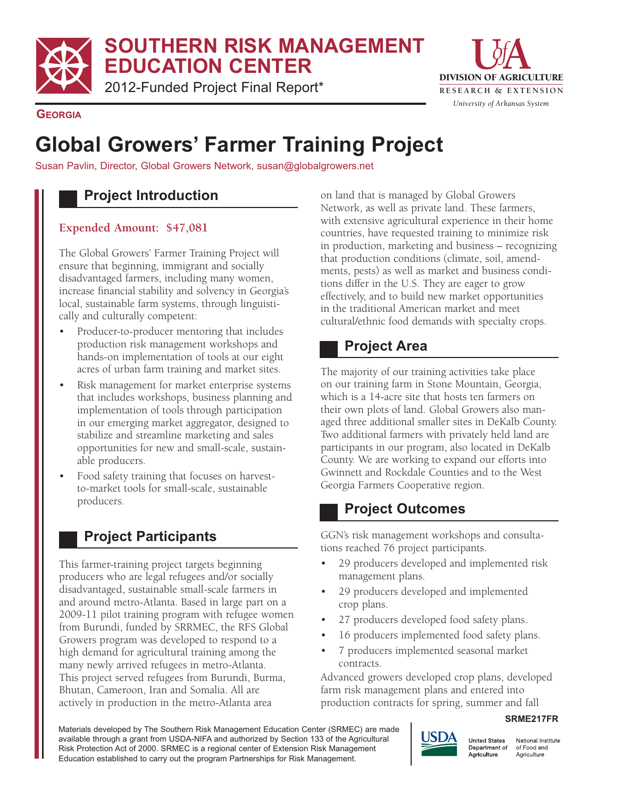**SOUTHERN RISK MANAGEMENT EDUCATION CENTER** 

2012-Funded Project Final Report\* **RESEARCH & EXTENSION** 



#### **GEORGIA**

# **Global Growers' Farmer Training Project**

Susan Pavlin, Director, Global Growers Network, susan@globalgrowers.net

# **Project Introduction**

#### **Expended Amount: \$47,081**

The Global Growers' Farmer Training Project will ensure that beginning, immigrant and socially disadvantaged farmers, including many women, increase financial stability and solvency in Georgia's local, sustainable farm systems, through linguistically and culturally competent:

- • Producer-to-producer mentoring that includes production risk management workshops and hands-on implementation of tools at our eight acres of urban farm training and market sites.
- Risk management for market enterprise systems that includes workshops, business planning and implementation of tools through participation in our emerging market aggregator, designed to stabilize and streamline marketing and sales opportunities for new and small-scale, sustainable producers.
- Food safety training that focuses on harvestto-market tools for small-scale, sustainable producers.

# **Project Participants**

This farmer-training project targets beginning producers who are legal refugees and/or socially disadvantaged, sustainable small-scale farmers in and around metro-Atlanta. Based in large part on a 2009-11 pilot training program with refugee women from Burundi, funded by SRRMEC, the RFS Global Growers program was developed to respond to a high demand for agricultural training among the many newly arrived refugees in metro-Atlanta. This project served refugees from Burundi, Burma, Bhutan, Cameroon, Iran and Somalia. All are actively in production in the metro-Atlanta area

on land that is managed by Global Growers Network, as well as private land. These farmers, with extensive agricultural experience in their home countries, have requested training to minimize risk in production, marketing and business – recognizing that production conditions (climate, soil, amendments, pests) as well as market and business conditions differ in the U.S. They are eager to grow effectively, and to build new market opportunities in the traditional American market and meet cultural/ethnic food demands with specialty crops.

## **Project Area**

The majority of our training activities take place on our training farm in Stone Mountain, Georgia, which is a 14-acre site that hosts ten farmers on their own plots of land. Global Growers also managed three additional smaller sites in DeKalb County. Two additional farmers with privately held land are participants in our program, also located in DeKalb County. We are working to expand our efforts into Gwinnett and Rockdale Counties and to the West Georgia Farmers Cooperative region.

## **Project Outcomes**

GGN's risk management workshops and consultations reached 76 project participants.

- 29 producers developed and implemented risk management plans.
- 29 producers developed and implemented crop plans.
- 27 producers developed food safety plans.
- 16 producers implemented food safety plans.
- 7 producers implemented seasonal market contracts.

Advanced growers developed crop plans, developed farm risk management plans and entered into production contracts for spring, summer and fall

#### **SRME217FR**

Materials developed by The Southern Risk Management Education Center (SRMEC) are made available through a grant from USDA-NIFA and authorized by Section 133 of the Agricultural Risk Protection Act of 2000. SRMEC is a regional center of Extension Risk Management Education established to carry out the program Partnerships for Risk Management.



National Institute of Food and Agriculture